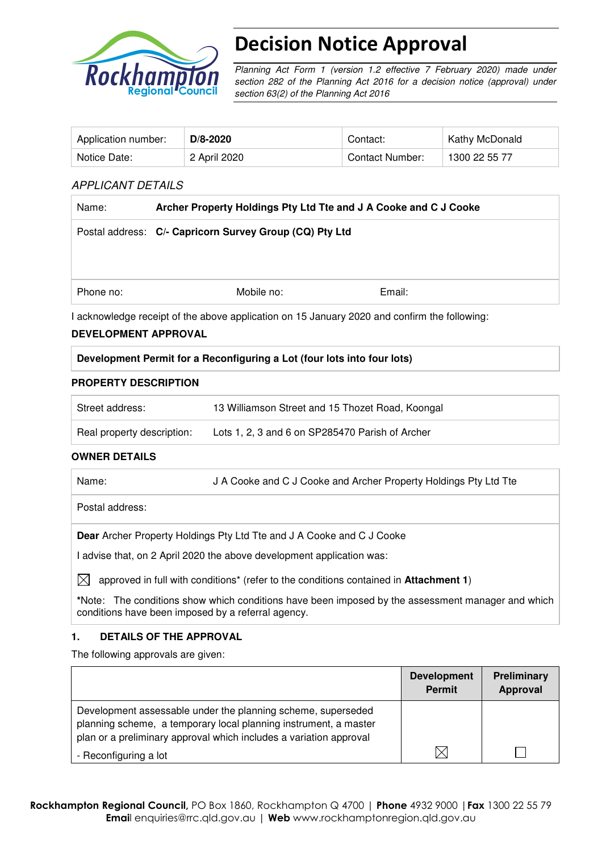

# Decision Notice Approval

Planning Act Form 1 (version 1.2 effective 7 February 2020) made under section 282 of the Planning Act 2016 for a decision notice (approval) under section 63(2) of the Planning Act 2016

| Application number: | $D/8 - 2020$ | Contact:        | Kathy McDonald |
|---------------------|--------------|-----------------|----------------|
| Notice Date:        | 2 April 2020 | Contact Number: | 1300 22 55 77  |

## APPLICANT DETAILS

| Name:     | Archer Property Holdings Pty Ltd Tte and J A Cooke and C J Cooke                                              |        |  |  |
|-----------|---------------------------------------------------------------------------------------------------------------|--------|--|--|
|           | Postal address: C/- Capricorn Survey Group (CQ) Pty Ltd                                                       |        |  |  |
|           |                                                                                                               |        |  |  |
| Phone no: | Mobile no:                                                                                                    | Email: |  |  |
|           | Lastronitate de la contrattura de la constitución de 15 decembre 10000 en la confirmativa de la fallacción de |        |  |  |

I acknowledge receipt of the above application on 15 January 2020 and confirm the following:

## **DEVELOPMENT APPROVAL**

## **Development Permit for a Reconfiguring a Lot (four lots into four lots)**

## **PROPERTY DESCRIPTION**

| Street address:            | 13 Williamson Street and 15 Thozet Road, Koongal |
|----------------------------|--------------------------------------------------|
| Real property description: | Lots 1, 2, 3 and 6 on SP285470 Parish of Archer  |

## **OWNER DETAILS**

| Name: | J A Cooke and C J Cooke and Archer Property Holdings Pty Ltd Tte |
|-------|------------------------------------------------------------------|
|       |                                                                  |

Postal address:

**Dear** Archer Property Holdings Pty Ltd Tte and J A Cooke and C J Cooke

I advise that, on 2 April 2020 the above development application was:

 $\boxtimes$  approved in full with conditions<sup>\*</sup> (refer to the conditions contained in **Attachment 1**)

**\***Note:The conditions show which conditions have been imposed by the assessment manager and which conditions have been imposed by a referral agency.

## **1. DETAILS OF THE APPROVAL**

The following approvals are given:

|                                                                                                                                                                                                        | <b>Development</b><br><b>Permit</b> | Preliminary<br>Approval |
|--------------------------------------------------------------------------------------------------------------------------------------------------------------------------------------------------------|-------------------------------------|-------------------------|
| Development assessable under the planning scheme, superseded<br>planning scheme, a temporary local planning instrument, a master<br>plan or a preliminary approval which includes a variation approval |                                     |                         |
| - Reconfiguring a lot                                                                                                                                                                                  | $\times$                            |                         |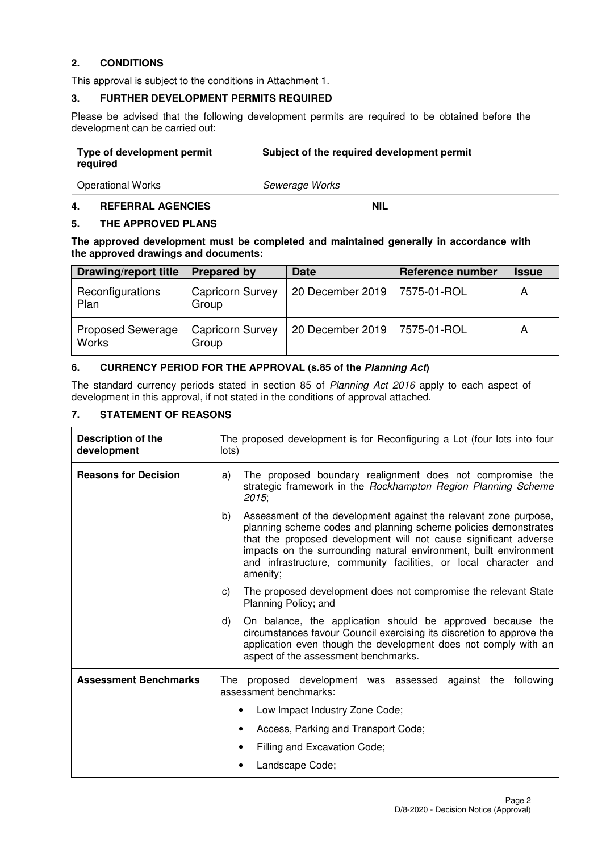## **2. CONDITIONS**

This approval is subject to the conditions in Attachment 1.

## **3. FURTHER DEVELOPMENT PERMITS REQUIRED**

Please be advised that the following development permits are required to be obtained before the development can be carried out:

| Type of development permit<br>required | Subject of the required development permit |  |
|----------------------------------------|--------------------------------------------|--|
| <b>Operational Works</b>               | Sewerage Works                             |  |

## **4. REFERRAL AGENCIES NIL**

## **5. THE APPROVED PLANS**

**The approved development must be completed and maintained generally in accordance with the approved drawings and documents:** 

| <b>Drawing/report title</b>              | <b>Prepared by</b>               | <b>Date</b>      | <b>Reference number</b> | <b>Issue</b> |
|------------------------------------------|----------------------------------|------------------|-------------------------|--------------|
| Reconfigurations<br>Plan                 | <b>Capricorn Survey</b><br>Group | 20 December 2019 | 7575-01-ROL             | A            |
| <b>Proposed Sewerage</b><br><b>Works</b> | <b>Capricorn Survey</b><br>Group | 20 December 2019 | 7575-01-ROL             | А            |

## **6. CURRENCY PERIOD FOR THE APPROVAL (s.85 of the Planning Act)**

The standard currency periods stated in section 85 of Planning Act 2016 apply to each aspect of development in this approval, if not stated in the conditions of approval attached.

## **7. STATEMENT OF REASONS**

| Description of the<br>development | The proposed development is for Reconfiguring a Lot (four lots into four<br>lots)                                                                                                                                                                                                                                                                            |  |  |
|-----------------------------------|--------------------------------------------------------------------------------------------------------------------------------------------------------------------------------------------------------------------------------------------------------------------------------------------------------------------------------------------------------------|--|--|
| <b>Reasons for Decision</b>       | The proposed boundary realignment does not compromise the<br>a)<br>strategic framework in the Rockhampton Region Planning Scheme<br>2015;                                                                                                                                                                                                                    |  |  |
|                                   | Assessment of the development against the relevant zone purpose,<br>planning scheme codes and planning scheme policies demonstrates<br>that the proposed development will not cause significant adverse<br>impacts on the surrounding natural environment, built environment<br>and infrastructure, community facilities, or local character and<br>amenity; |  |  |
|                                   | The proposed development does not compromise the relevant State<br>C)<br>Planning Policy; and                                                                                                                                                                                                                                                                |  |  |
|                                   | On balance, the application should be approved because the<br>d)<br>circumstances favour Council exercising its discretion to approve the<br>application even though the development does not comply with an<br>aspect of the assessment benchmarks.                                                                                                         |  |  |
| <b>Assessment Benchmarks</b>      | The proposed development was assessed against the<br>following<br>assessment benchmarks:                                                                                                                                                                                                                                                                     |  |  |
|                                   | Low Impact Industry Zone Code;                                                                                                                                                                                                                                                                                                                               |  |  |
|                                   | Access, Parking and Transport Code;<br>٠                                                                                                                                                                                                                                                                                                                     |  |  |
|                                   | Filling and Excavation Code;<br>٠                                                                                                                                                                                                                                                                                                                            |  |  |
|                                   | Landscape Code;                                                                                                                                                                                                                                                                                                                                              |  |  |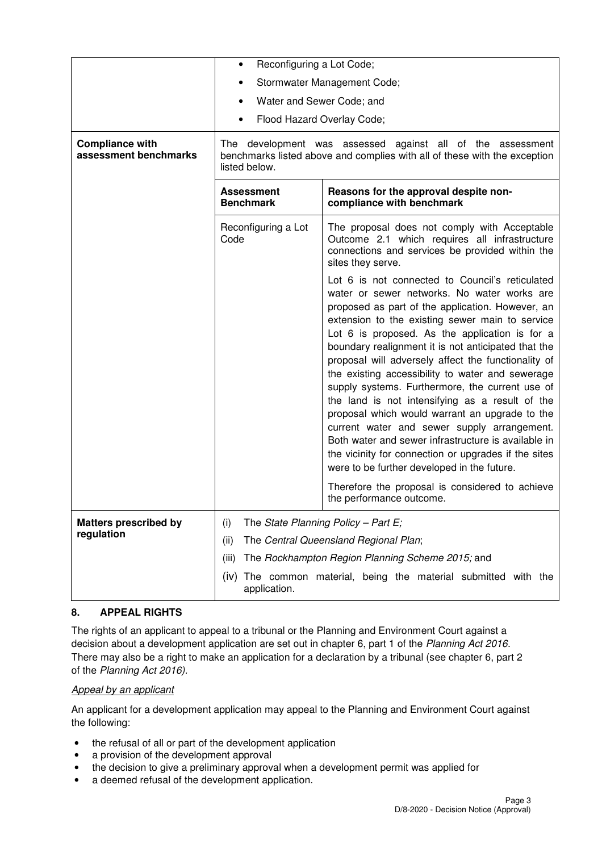|                                                 | Reconfiguring a Lot Code;<br>$\bullet$                                                                                                                                                                                                                                                                                                                                                                                                                                                                                                                                                                                                                                                                                                                                                                                                            |                                                                                                                                                                       |  |  |
|-------------------------------------------------|---------------------------------------------------------------------------------------------------------------------------------------------------------------------------------------------------------------------------------------------------------------------------------------------------------------------------------------------------------------------------------------------------------------------------------------------------------------------------------------------------------------------------------------------------------------------------------------------------------------------------------------------------------------------------------------------------------------------------------------------------------------------------------------------------------------------------------------------------|-----------------------------------------------------------------------------------------------------------------------------------------------------------------------|--|--|
|                                                 | Stormwater Management Code;<br>٠                                                                                                                                                                                                                                                                                                                                                                                                                                                                                                                                                                                                                                                                                                                                                                                                                  |                                                                                                                                                                       |  |  |
|                                                 | Water and Sewer Code; and<br>$\bullet$                                                                                                                                                                                                                                                                                                                                                                                                                                                                                                                                                                                                                                                                                                                                                                                                            |                                                                                                                                                                       |  |  |
|                                                 | Flood Hazard Overlay Code;<br>٠                                                                                                                                                                                                                                                                                                                                                                                                                                                                                                                                                                                                                                                                                                                                                                                                                   |                                                                                                                                                                       |  |  |
| <b>Compliance with</b><br>assessment benchmarks | The development was assessed against all of the assessment<br>benchmarks listed above and complies with all of these with the exception<br>listed below.                                                                                                                                                                                                                                                                                                                                                                                                                                                                                                                                                                                                                                                                                          |                                                                                                                                                                       |  |  |
|                                                 | <b>Assessment</b><br><b>Benchmark</b>                                                                                                                                                                                                                                                                                                                                                                                                                                                                                                                                                                                                                                                                                                                                                                                                             | Reasons for the approval despite non-<br>compliance with benchmark                                                                                                    |  |  |
|                                                 | Reconfiguring a Lot<br>Code                                                                                                                                                                                                                                                                                                                                                                                                                                                                                                                                                                                                                                                                                                                                                                                                                       | The proposal does not comply with Acceptable<br>Outcome 2.1 which requires all infrastructure<br>connections and services be provided within the<br>sites they serve. |  |  |
|                                                 | Lot 6 is not connected to Council's reticulated<br>water or sewer networks. No water works are<br>proposed as part of the application. However, an<br>extension to the existing sewer main to service<br>Lot 6 is proposed. As the application is for a<br>boundary realignment it is not anticipated that the<br>proposal will adversely affect the functionality of<br>the existing accessibility to water and sewerage<br>supply systems. Furthermore, the current use of<br>the land is not intensifying as a result of the<br>proposal which would warrant an upgrade to the<br>current water and sewer supply arrangement.<br>Both water and sewer infrastructure is available in<br>the vicinity for connection or upgrades if the sites<br>were to be further developed in the future.<br>Therefore the proposal is considered to achieve |                                                                                                                                                                       |  |  |
| <b>Matters prescribed by</b>                    | The State Planning Policy - Part E;<br>(i)                                                                                                                                                                                                                                                                                                                                                                                                                                                                                                                                                                                                                                                                                                                                                                                                        |                                                                                                                                                                       |  |  |
| regulation                                      | The Central Queensland Regional Plan;<br>(ii)                                                                                                                                                                                                                                                                                                                                                                                                                                                                                                                                                                                                                                                                                                                                                                                                     |                                                                                                                                                                       |  |  |
|                                                 | The Rockhampton Region Planning Scheme 2015; and<br>(iii)                                                                                                                                                                                                                                                                                                                                                                                                                                                                                                                                                                                                                                                                                                                                                                                         |                                                                                                                                                                       |  |  |
|                                                 | The common material, being the material submitted with the<br>(iv)<br>application.                                                                                                                                                                                                                                                                                                                                                                                                                                                                                                                                                                                                                                                                                                                                                                |                                                                                                                                                                       |  |  |

## **8. APPEAL RIGHTS**

The rights of an applicant to appeal to a tribunal or the Planning and Environment Court against a decision about a development application are set out in chapter 6, part 1 of the Planning Act 2016. There may also be a right to make an application for a declaration by a tribunal (see chapter 6, part 2 of the Planning Act 2016).

## Appeal by an applicant

An applicant for a development application may appeal to the Planning and Environment Court against the following:

- the refusal of all or part of the development application
- a provision of the development approval
- the decision to give a preliminary approval when a development permit was applied for
- a deemed refusal of the development application.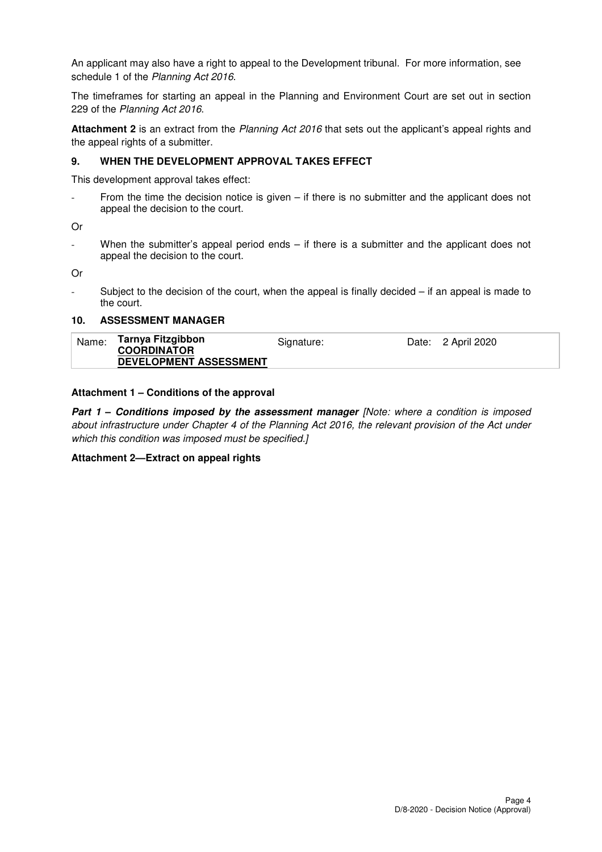An applicant may also have a right to appeal to the Development tribunal. For more information, see schedule 1 of the Planning Act 2016.

The timeframes for starting an appeal in the Planning and Environment Court are set out in section 229 of the Planning Act 2016.

**Attachment 2** is an extract from the Planning Act 2016 that sets out the applicant's appeal rights and the appeal rights of a submitter.

## **9. WHEN THE DEVELOPMENT APPROVAL TAKES EFFECT**

This development approval takes effect:

From the time the decision notice is given  $-$  if there is no submitter and the applicant does not appeal the decision to the court.

Or

When the submitter's appeal period ends  $-$  if there is a submitter and the applicant does not appeal the decision to the court.

Or

Subject to the decision of the court, when the appeal is finally decided  $-$  if an appeal is made to the court.

## **10. ASSESSMENT MANAGER**

| Name: | Tarnya Fitzgibbon<br><b>COORDINATOR</b> | Signature: | Date: 2 April 2020 |
|-------|-----------------------------------------|------------|--------------------|
|       | DEVELOPMENT ASSESSMENT                  |            |                    |

## **Attachment 1 – Conditions of the approval**

**Part 1 – Conditions imposed by the assessment manager [Note: where a condition is imposed** about infrastructure under Chapter 4 of the Planning Act 2016, the relevant provision of the Act under which this condition was imposed must be specified.]

## **Attachment 2—Extract on appeal rights**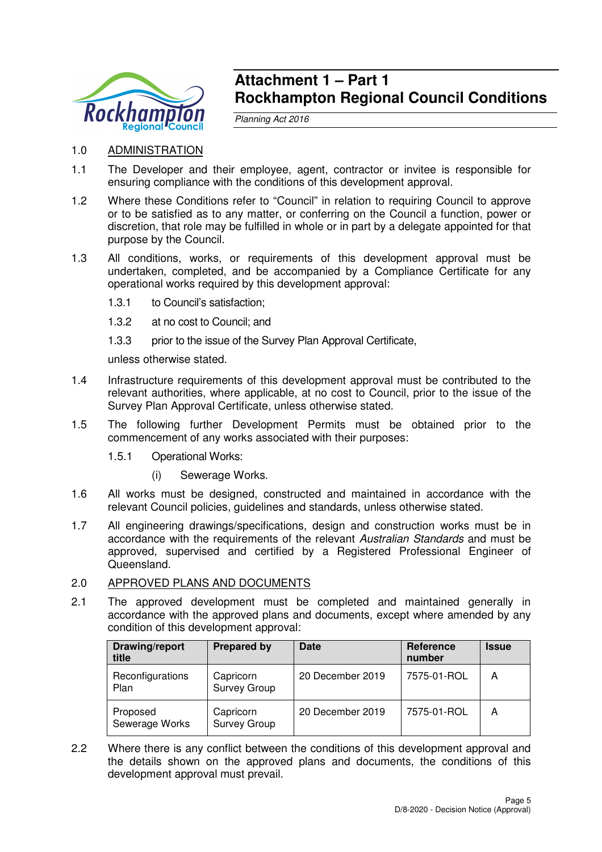

# **Attachment 1 – Part 1 Rockhampton Regional Council Conditions**

Planning Act 2016

- 1.0 ADMINISTRATION
- 1.1 The Developer and their employee, agent, contractor or invitee is responsible for ensuring compliance with the conditions of this development approval.
- 1.2 Where these Conditions refer to "Council" in relation to requiring Council to approve or to be satisfied as to any matter, or conferring on the Council a function, power or discretion, that role may be fulfilled in whole or in part by a delegate appointed for that purpose by the Council.
- 1.3 All conditions, works, or requirements of this development approval must be undertaken, completed, and be accompanied by a Compliance Certificate for any operational works required by this development approval:
	- 1.3.1 to Council's satisfaction;
	- 1.3.2 at no cost to Council; and
	- 1.3.3 prior to the issue of the Survey Plan Approval Certificate,

unless otherwise stated.

- 1.4 Infrastructure requirements of this development approval must be contributed to the relevant authorities, where applicable, at no cost to Council, prior to the issue of the Survey Plan Approval Certificate, unless otherwise stated.
- 1.5 The following further Development Permits must be obtained prior to the commencement of any works associated with their purposes:
	- 1.5.1 Operational Works:
		- (i) Sewerage Works.
- 1.6 All works must be designed, constructed and maintained in accordance with the relevant Council policies, guidelines and standards, unless otherwise stated.
- 1.7 All engineering drawings/specifications, design and construction works must be in accordance with the requirements of the relevant Australian Standards and must be approved, supervised and certified by a Registered Professional Engineer of Queensland.

## 2.0 APPROVED PLANS AND DOCUMENTS

2.1 The approved development must be completed and maintained generally in accordance with the approved plans and documents, except where amended by any condition of this development approval:

| Drawing/report<br>title    | <b>Prepared by</b>               | Date             | <b>Reference</b><br>number | <b>Issue</b> |
|----------------------------|----------------------------------|------------------|----------------------------|--------------|
| Reconfigurations<br>Plan   | Capricorn<br><b>Survey Group</b> | 20 December 2019 | 7575-01-ROL                | Α            |
| Proposed<br>Sewerage Works | Capricorn<br><b>Survey Group</b> | 20 December 2019 | 7575-01-ROL                | А            |

2.2 Where there is any conflict between the conditions of this development approval and the details shown on the approved plans and documents, the conditions of this development approval must prevail.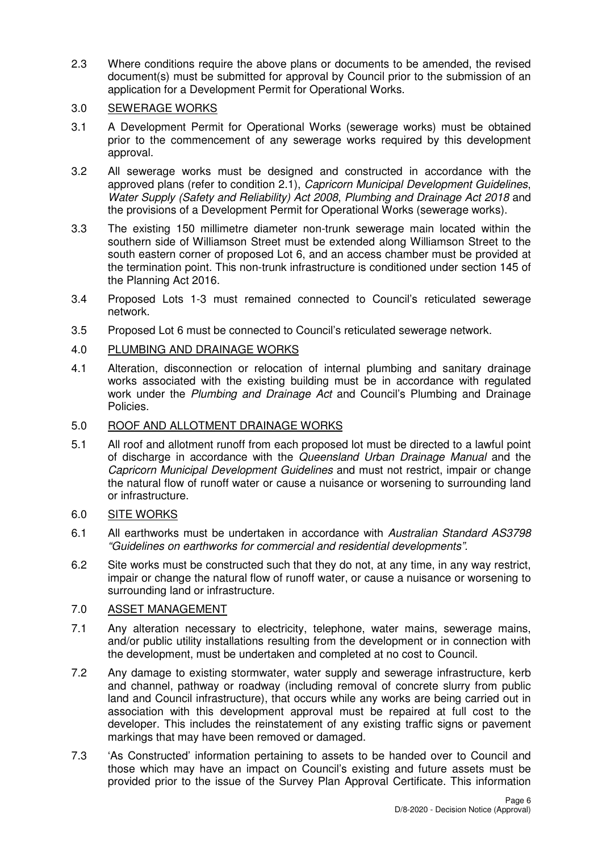2.3 Where conditions require the above plans or documents to be amended, the revised document(s) must be submitted for approval by Council prior to the submission of an application for a Development Permit for Operational Works.

## 3.0 SEWERAGE WORKS

- 3.1 A Development Permit for Operational Works (sewerage works) must be obtained prior to the commencement of any sewerage works required by this development approval.
- 3.2 All sewerage works must be designed and constructed in accordance with the approved plans (refer to condition 2.1), Capricorn Municipal Development Guidelines, Water Supply (Safety and Reliability) Act 2008, Plumbing and Drainage Act 2018 and the provisions of a Development Permit for Operational Works (sewerage works).
- 3.3 The existing 150 millimetre diameter non-trunk sewerage main located within the southern side of Williamson Street must be extended along Williamson Street to the south eastern corner of proposed Lot 6, and an access chamber must be provided at the termination point. This non-trunk infrastructure is conditioned under section 145 of the Planning Act 2016.
- 3.4 Proposed Lots 1-3 must remained connected to Council's reticulated sewerage network.
- 3.5 Proposed Lot 6 must be connected to Council's reticulated sewerage network.
- 4.0 PLUMBING AND DRAINAGE WORKS
- 4.1 Alteration, disconnection or relocation of internal plumbing and sanitary drainage works associated with the existing building must be in accordance with regulated work under the Plumbing and Drainage Act and Council's Plumbing and Drainage Policies.

## 5.0 ROOF AND ALLOTMENT DRAINAGE WORKS

5.1 All roof and allotment runoff from each proposed lot must be directed to a lawful point of discharge in accordance with the Queensland Urban Drainage Manual and the Capricorn Municipal Development Guidelines and must not restrict, impair or change the natural flow of runoff water or cause a nuisance or worsening to surrounding land or infrastructure.

## 6.0 SITE WORKS

- 6.1 All earthworks must be undertaken in accordance with Australian Standard AS3798 "Guidelines on earthworks for commercial and residential developments".
- 6.2 Site works must be constructed such that they do not, at any time, in any way restrict, impair or change the natural flow of runoff water, or cause a nuisance or worsening to surrounding land or infrastructure.

## 7.0 ASSET MANAGEMENT

- 7.1 Any alteration necessary to electricity, telephone, water mains, sewerage mains, and/or public utility installations resulting from the development or in connection with the development, must be undertaken and completed at no cost to Council.
- 7.2 Any damage to existing stormwater, water supply and sewerage infrastructure, kerb and channel, pathway or roadway (including removal of concrete slurry from public land and Council infrastructure), that occurs while any works are being carried out in association with this development approval must be repaired at full cost to the developer. This includes the reinstatement of any existing traffic signs or pavement markings that may have been removed or damaged.
- 7.3 'As Constructed' information pertaining to assets to be handed over to Council and those which may have an impact on Council's existing and future assets must be provided prior to the issue of the Survey Plan Approval Certificate. This information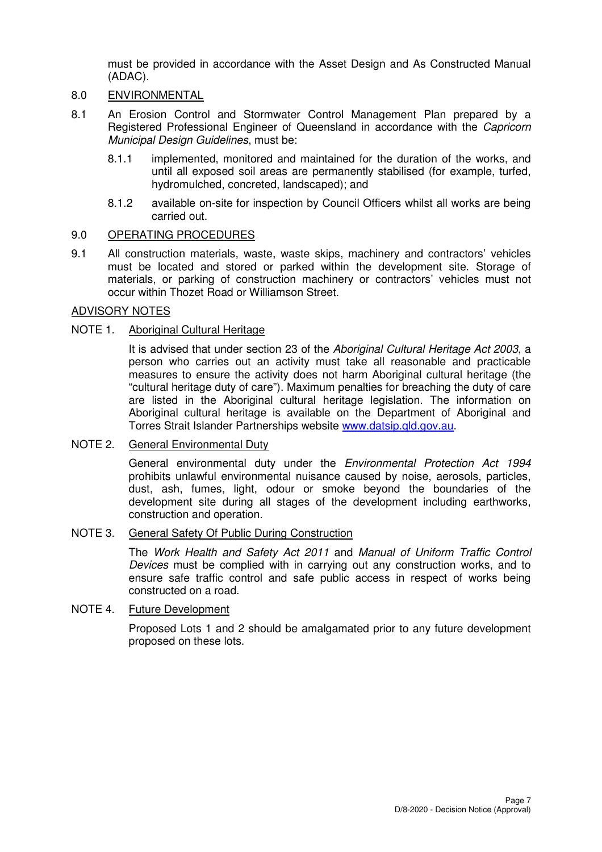must be provided in accordance with the Asset Design and As Constructed Manual (ADAC).

## 8.0 ENVIRONMENTAL

- 8.1 An Erosion Control and Stormwater Control Management Plan prepared by a Registered Professional Engineer of Queensland in accordance with the Capricorn Municipal Design Guidelines, must be:
	- 8.1.1 implemented, monitored and maintained for the duration of the works, and until all exposed soil areas are permanently stabilised (for example, turfed, hydromulched, concreted, landscaped); and
	- 8.1.2 available on-site for inspection by Council Officers whilst all works are being carried out.

## 9.0 OPERATING PROCEDURES

9.1 All construction materials, waste, waste skips, machinery and contractors' vehicles must be located and stored or parked within the development site. Storage of materials, or parking of construction machinery or contractors' vehicles must not occur within Thozet Road or Williamson Street.

## ADVISORY NOTES

## NOTE 1. Aboriginal Cultural Heritage

It is advised that under section 23 of the Aboriginal Cultural Heritage Act 2003, a person who carries out an activity must take all reasonable and practicable measures to ensure the activity does not harm Aboriginal cultural heritage (the "cultural heritage duty of care"). Maximum penalties for breaching the duty of care are listed in the Aboriginal cultural heritage legislation. The information on Aboriginal cultural heritage is available on the Department of Aboriginal and Torres Strait Islander Partnerships website www.datsip.qld.gov.au.

## NOTE 2. General Environmental Duty

General environmental duty under the Environmental Protection Act 1994 prohibits unlawful environmental nuisance caused by noise, aerosols, particles, dust, ash, fumes, light, odour or smoke beyond the boundaries of the development site during all stages of the development including earthworks, construction and operation.

## NOTE 3. General Safety Of Public During Construction

The Work Health and Safety Act 2011 and Manual of Uniform Traffic Control Devices must be complied with in carrying out any construction works, and to ensure safe traffic control and safe public access in respect of works being constructed on a road.

## NOTE 4. Future Development

Proposed Lots 1 and 2 should be amalgamated prior to any future development proposed on these lots.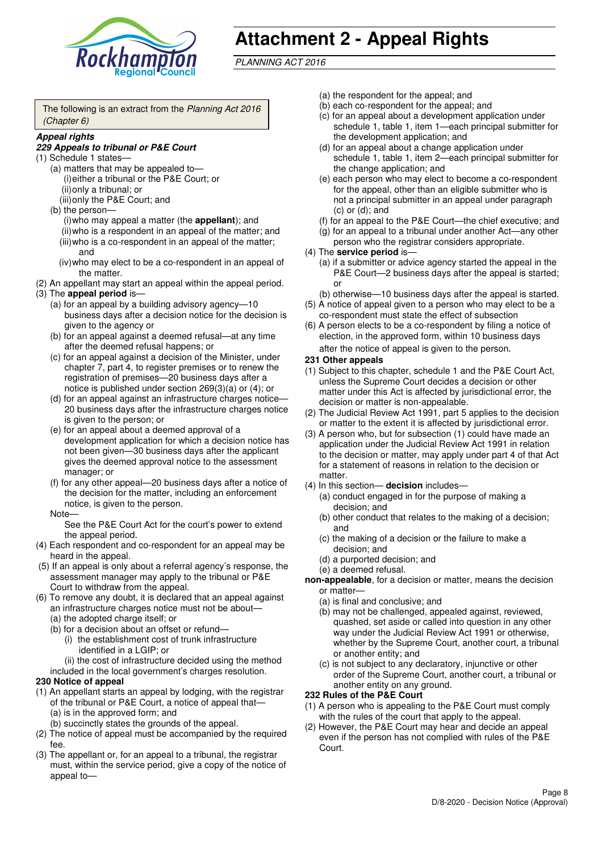

# **Attachment 2 - Appeal Rights**

PLANNING ACT 2016

The following is an extract from the Planning Act 2016 (Chapter 6)

#### **Appeal rights**

## **229 Appeals to tribunal or P&E Court**

- (1) Schedule 1 states—
	- (a) matters that may be appealed to— (i) either a tribunal or the P&E Court; or (ii) only a tribunal; or
	- (iii) only the P&E Court; and (b) the person—
		- (i) who may appeal a matter (the **appellant**); and (ii) who is a respondent in an appeal of the matter; and (iii) who is a co-respondent in an appeal of the matter; and
		- (iv) who may elect to be a co-respondent in an appeal of the matter.
- (2) An appellant may start an appeal within the appeal period.
- (3) The **appeal period** is—
	- (a) for an appeal by a building advisory agency—10 business days after a decision notice for the decision is given to the agency or
	- (b) for an appeal against a deemed refusal—at any time after the deemed refusal happens; or
	- (c) for an appeal against a decision of the Minister, under chapter 7, part 4, to register premises or to renew the registration of premises—20 business days after a notice is published under section 269(3)(a) or (4); or
	- (d) for an appeal against an infrastructure charges notice— 20 business days after the infrastructure charges notice is given to the person; or
	- (e) for an appeal about a deemed approval of a development application for which a decision notice has not been given—30 business days after the applicant gives the deemed approval notice to the assessment manager; or
	- (f) for any other appeal—20 business days after a notice of the decision for the matter, including an enforcement notice, is given to the person.

#### Note—

See the P&E Court Act for the court's power to extend the appeal period.

- (4) Each respondent and co-respondent for an appeal may be heard in the appeal.
- (5) If an appeal is only about a referral agency's response, the assessment manager may apply to the tribunal or P&E Court to withdraw from the appeal.
- (6) To remove any doubt, it is declared that an appeal against an infrastructure charges notice must not be about—
	- (a) the adopted charge itself; or
	- (b) for a decision about an offset or refund—
		- (i) the establishment cost of trunk infrastructure identified in a LGIP; or
		- (ii) the cost of infrastructure decided using the method
	- included in the local government's charges resolution.

## **230 Notice of appeal**

- (1) An appellant starts an appeal by lodging, with the registrar of the tribunal or P&E Court, a notice of appeal that—
	- (a) is in the approved form; and
	- (b) succinctly states the grounds of the appeal.
- (2) The notice of appeal must be accompanied by the required fee.
- (3) The appellant or, for an appeal to a tribunal, the registrar must, within the service period, give a copy of the notice of appeal to—
- (a) the respondent for the appeal; and
- (b) each co-respondent for the appeal; and
- (c) for an appeal about a development application under schedule 1, table 1, item 1—each principal submitter for the development application; and
- (d) for an appeal about a change application under schedule 1, table 1, item 2—each principal submitter for the change application; and
- (e) each person who may elect to become a co-respondent for the appeal, other than an eligible submitter who is not a principal submitter in an appeal under paragraph  $(c)$  or  $(d)$ ; and
- (f) for an appeal to the P&E Court—the chief executive; and
- (g) for an appeal to a tribunal under another Act—any other person who the registrar considers appropriate.
- (4) The **service period** is—
	- (a) if a submitter or advice agency started the appeal in the P&E Court-2 business days after the appeal is started; or
	- (b) otherwise—10 business days after the appeal is started.
- (5) A notice of appeal given to a person who may elect to be a co-respondent must state the effect of subsection
- (6) A person elects to be a co-respondent by filing a notice of election, in the approved form, within 10 business days after the notice of appeal is given to the person*.*
- **231 Other appeals**
- (1) Subject to this chapter, schedule 1 and the P&E Court Act, unless the Supreme Court decides a decision or other matter under this Act is affected by jurisdictional error, the decision or matter is non-appealable.
- (2) The Judicial Review Act 1991, part 5 applies to the decision or matter to the extent it is affected by jurisdictional error.
- (3) A person who, but for subsection (1) could have made an application under the Judicial Review Act 1991 in relation to the decision or matter, may apply under part 4 of that Act for a statement of reasons in relation to the decision or matter.
- (4) In this section— **decision** includes—
	- (a) conduct engaged in for the purpose of making a decision; and
	- (b) other conduct that relates to the making of a decision; and
	- (c) the making of a decision or the failure to make a decision; and
	- (d) a purported decision; and
	- (e) a deemed refusal.

**non-appealable**, for a decision or matter, means the decision or matter—

- (a) is final and conclusive; and
- (b) may not be challenged, appealed against, reviewed, quashed, set aside or called into question in any other way under the Judicial Review Act 1991 or otherwise, whether by the Supreme Court, another court, a tribunal or another entity; and
- (c) is not subject to any declaratory, injunctive or other order of the Supreme Court, another court, a tribunal or another entity on any ground.

## **232 Rules of the P&E Court**

- (1) A person who is appealing to the P&E Court must comply with the rules of the court that apply to the appeal.
- (2) However, the P&E Court may hear and decide an appeal even if the person has not complied with rules of the P&E Court.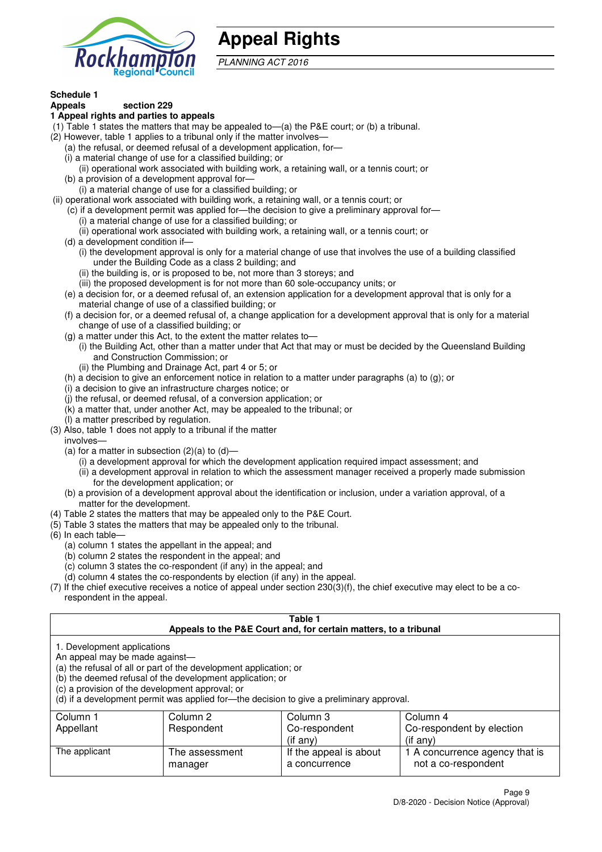

# **Appeal Rights**

PLANNING ACT 2016

# **Schedule 1**

#### **Appeals section 229 1 Appeal rights and parties to appeals**

- (1) Table 1 states the matters that may be appealed to—(a) the P&E court; or (b) a tribunal.
- (2) However, table 1 applies to a tribunal only if the matter involves—
	- (a) the refusal, or deemed refusal of a development application, for—
	- (i) a material change of use for a classified building; or
	- (ii) operational work associated with building work, a retaining wall, or a tennis court; or
	- (b) a provision of a development approval for—
	- (i) a material change of use for a classified building; or
- (ii) operational work associated with building work, a retaining wall, or a tennis court; or
	- (c) if a development permit was applied for—the decision to give a preliminary approval for—
		- (i) a material change of use for a classified building; or
	- (ii) operational work associated with building work, a retaining wall, or a tennis court; or
	- (d) a development condition if—
		- (i) the development approval is only for a material change of use that involves the use of a building classified under the Building Code as a class 2 building; and
		- (ii) the building is, or is proposed to be, not more than 3 storeys; and
		- (iii) the proposed development is for not more than 60 sole-occupancy units; or
	- (e) a decision for, or a deemed refusal of, an extension application for a development approval that is only for a material change of use of a classified building; or
	- (f) a decision for, or a deemed refusal of, a change application for a development approval that is only for a material change of use of a classified building; or
	- (g) a matter under this Act, to the extent the matter relates to—
		- (i) the Building Act, other than a matter under that Act that may or must be decided by the Queensland Building and Construction Commission; or
		- (ii) the Plumbing and Drainage Act, part 4 or 5; or
	- (h) a decision to give an enforcement notice in relation to a matter under paragraphs (a) to (g); or
	- (i) a decision to give an infrastructure charges notice; or
	- (j) the refusal, or deemed refusal, of a conversion application; or
	- (k) a matter that, under another Act, may be appealed to the tribunal; or
	- (l) a matter prescribed by regulation.
- (3) Also, table 1 does not apply to a tribunal if the matter

involves—

- (a) for a matter in subsection  $(2)(a)$  to  $(d)$ 
	- (i) a development approval for which the development application required impact assessment; and
	- (ii) a development approval in relation to which the assessment manager received a properly made submission for the development application; or
- (b) a provision of a development approval about the identification or inclusion, under a variation approval, of a matter for the development.
- (4) Table 2 states the matters that may be appealed only to the P&E Court.
- (5) Table 3 states the matters that may be appealed only to the tribunal.
- (6) In each table—
	- (a) column 1 states the appellant in the appeal; and
	- (b) column 2 states the respondent in the appeal; and
	- (c) column 3 states the co-respondent (if any) in the appeal; and
	- (d) column 4 states the co-respondents by election (if any) in the appeal.
- (7) If the chief executive receives a notice of appeal under section 230(3)(f), the chief executive may elect to be a corespondent in the appeal.

| Table 1<br>Appeals to the P&E Court and, for certain matters, to a tribunal                                                                                                                                                                                                                                                                    |                           |                                         |                                                       |  |  |
|------------------------------------------------------------------------------------------------------------------------------------------------------------------------------------------------------------------------------------------------------------------------------------------------------------------------------------------------|---------------------------|-----------------------------------------|-------------------------------------------------------|--|--|
| 1. Development applications<br>An appeal may be made against-<br>(a) the refusal of all or part of the development application; or<br>(b) the deemed refusal of the development application; or<br>(c) a provision of the development approval; or<br>(d) if a development permit was applied for-the decision to give a preliminary approval. |                           |                                         |                                                       |  |  |
| Column 1                                                                                                                                                                                                                                                                                                                                       | Column 2                  | Column 3                                | Column 4                                              |  |  |
| Appellant                                                                                                                                                                                                                                                                                                                                      | Respondent                | Co-respondent                           | Co-respondent by election                             |  |  |
| $($ if any $)$<br>$($ if any $)$                                                                                                                                                                                                                                                                                                               |                           |                                         |                                                       |  |  |
| The applicant                                                                                                                                                                                                                                                                                                                                  | The assessment<br>manager | If the appeal is about<br>a concurrence | 1 A concurrence agency that is<br>not a co-respondent |  |  |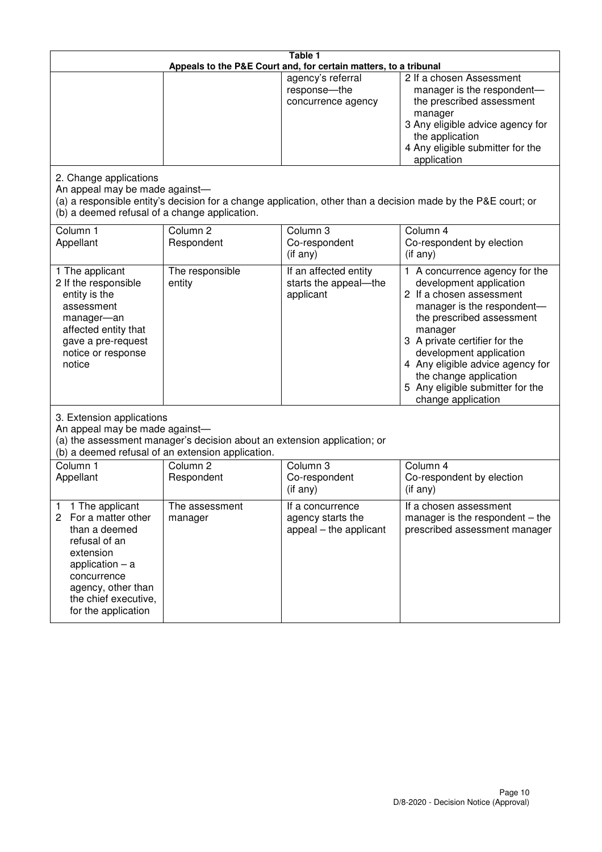| Table 1<br>Appeals to the P&E Court and, for certain matters, to a tribunal                                                                                                                             |                                   |                                                                 |                                                                                                                                                                                                                                                                                                                                                 |  |
|---------------------------------------------------------------------------------------------------------------------------------------------------------------------------------------------------------|-----------------------------------|-----------------------------------------------------------------|-------------------------------------------------------------------------------------------------------------------------------------------------------------------------------------------------------------------------------------------------------------------------------------------------------------------------------------------------|--|
|                                                                                                                                                                                                         |                                   | agency's referral<br>response-the<br>concurrence agency         | 2 If a chosen Assessment<br>manager is the respondent-<br>the prescribed assessment<br>manager<br>3 Any eligible advice agency for<br>the application<br>4 Any eligible submitter for the<br>application                                                                                                                                        |  |
| 2. Change applications<br>An appeal may be made against-<br>(b) a deemed refusal of a change application.                                                                                               |                                   |                                                                 | (a) a responsible entity's decision for a change application, other than a decision made by the P&E court; or                                                                                                                                                                                                                                   |  |
| Column 1<br>Appellant                                                                                                                                                                                   | Column <sub>2</sub><br>Respondent | Column 3<br>Co-respondent<br>$($ if any $)$                     | Column 4<br>Co-respondent by election<br>(if any)                                                                                                                                                                                                                                                                                               |  |
| 1 The applicant<br>2 If the responsible<br>entity is the<br>assessment<br>manager-an<br>affected entity that<br>gave a pre-request<br>notice or response<br>notice                                      | The responsible<br>entity         | If an affected entity<br>starts the appeal-the<br>applicant     | 1 A concurrence agency for the<br>development application<br>2 If a chosen assessment<br>manager is the respondent-<br>the prescribed assessment<br>manager<br>3 A private certifier for the<br>development application<br>4 Any eligible advice agency for<br>the change application<br>5 Any eligible submitter for the<br>change application |  |
| 3. Extension applications<br>An appeal may be made against-<br>(a) the assessment manager's decision about an extension application; or<br>(b) a deemed refusal of an extension application.            |                                   |                                                                 |                                                                                                                                                                                                                                                                                                                                                 |  |
| Column 1<br>Appellant                                                                                                                                                                                   | Column <sub>2</sub><br>Respondent | Column 3<br>Co-respondent<br>(if any)                           | Column $\overline{4}$<br>Co-respondent by election<br>(if any)                                                                                                                                                                                                                                                                                  |  |
| 1 The applicant<br>1<br>2<br>For a matter other<br>than a deemed<br>refusal of an<br>extension<br>application $-$ a<br>concurrence<br>agency, other than<br>the chief executive,<br>for the application | The assessment<br>manager         | If a concurrence<br>agency starts the<br>appeal – the applicant | If a chosen assessment<br>manager is the respondent $-$ the<br>prescribed assessment manager                                                                                                                                                                                                                                                    |  |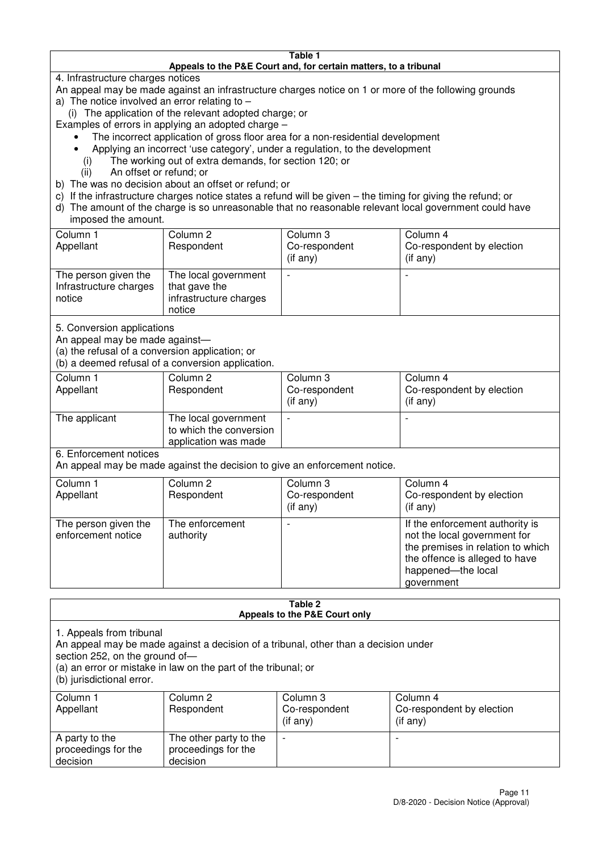#### **Table 1 Appeals to the P&E Court and, for certain matters, to a tribunal**

4. Infrastructure charges notices

- An appeal may be made against an infrastructure charges notice on 1 or more of the following grounds
- a) The notice involved an error relating to
	- (i) The application of the relevant adopted charge; or
- Examples of errors in applying an adopted charge
	- The incorrect application of gross floor area for a non-residential development
	- Applying an incorrect 'use category', under a regulation, to the development
	- (i) The working out of extra demands, for section 120; or
	- (ii) An offset or refund; or
- b) The was no decision about an offset or refund; or
- c) If the infrastructure charges notice states a refund will be given the timing for giving the refund; or
- d) The amount of the charge is so unreasonable that no reasonable relevant local government could have

## imposed the amount.

| Column 1<br>Appellant                                    | Column 2<br>Respondent                                                    | Column 3<br>Co-respondent<br>(if any) | Column 4<br>Co-respondent by election<br>$($ if any $)$ |
|----------------------------------------------------------|---------------------------------------------------------------------------|---------------------------------------|---------------------------------------------------------|
| The person given the<br>Infrastructure charges<br>notice | The local government<br>that gave the<br>infrastructure charges<br>notice |                                       |                                                         |

5. Conversion applications

An appeal may be made against—

(a) the refusal of a conversion application; or

(b) a deemed refusal of a conversion application.

| Column 1<br>Appellant | Column 2<br>Respondent                                                  | Column 3<br>Co-respondent<br>$($ if any $)$ | Column 4<br>Co-respondent by election<br>$($ if any $)$ |
|-----------------------|-------------------------------------------------------------------------|---------------------------------------------|---------------------------------------------------------|
| The applicant         | The local government<br>to which the conversion<br>application was made |                                             |                                                         |

6. Enforcement notices

An appeal may be made against the decision to give an enforcement notice.

| Column 1<br>Appellant                      | Column 2<br>Respondent       | Column 3<br>Co-respondent<br>$($ if any $)$ | Column 4<br>Co-respondent by election<br>$($ if any $)$                                                                                                                    |
|--------------------------------------------|------------------------------|---------------------------------------------|----------------------------------------------------------------------------------------------------------------------------------------------------------------------------|
| The person given the<br>enforcement notice | The enforcement<br>authority |                                             | If the enforcement authority is<br>not the local government for<br>the premises in relation to which<br>the offence is alleged to have<br>happened-the local<br>government |

#### **Table 2 Appeals to the P&E Court only**

1. Appeals from tribunal

An appeal may be made against a decision of a tribunal, other than a decision under

section 252, on the ground of-

(a) an error or mistake in law on the part of the tribunal; or

(b) jurisdictional error.

| Column 1<br>Appellant                             | Column 2<br>Respondent                                    | Column 3<br>Co-respondent<br>$($ if any $)$ | Column 4<br>Co-respondent by election<br>(i f any) |
|---------------------------------------------------|-----------------------------------------------------------|---------------------------------------------|----------------------------------------------------|
| A party to the<br>proceedings for the<br>decision | The other party to the<br>proceedings for the<br>decision | $\overline{\phantom{0}}$                    |                                                    |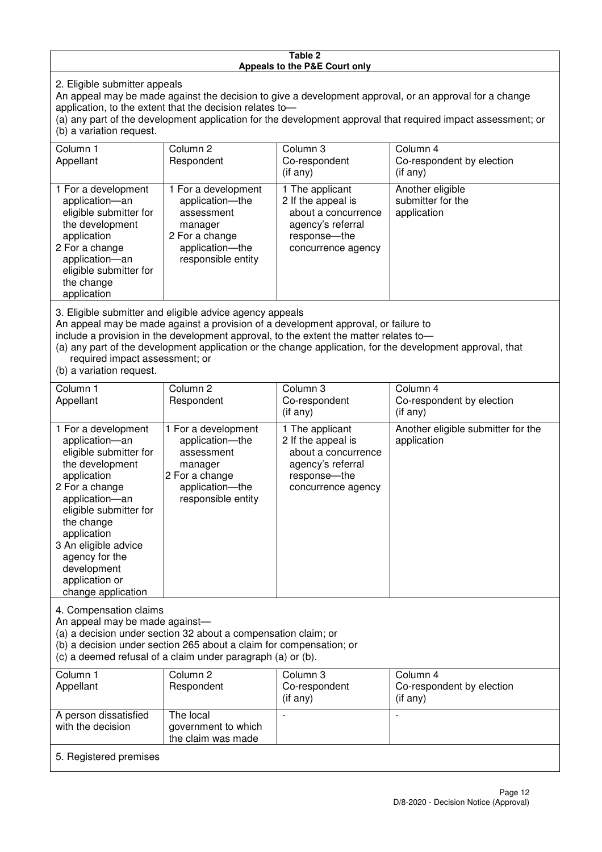#### **Table 2 Appeals to the P&E Court only**

2. Eligible submitter appeals

An appeal may be made against the decision to give a development approval, or an approval for a change application, to the extent that the decision relates to—

(a) any part of the development application for the development approval that required impact assessment; or (b) a variation request.

| Column 1                                                                                                                                                                                                                                                                                                                                                                               | Column 2                                                                                                                   | Column 3                                                                                                                | Column 4                                             |  |
|----------------------------------------------------------------------------------------------------------------------------------------------------------------------------------------------------------------------------------------------------------------------------------------------------------------------------------------------------------------------------------------|----------------------------------------------------------------------------------------------------------------------------|-------------------------------------------------------------------------------------------------------------------------|------------------------------------------------------|--|
| Appellant                                                                                                                                                                                                                                                                                                                                                                              | Respondent                                                                                                                 | Co-respondent                                                                                                           | Co-respondent by election                            |  |
|                                                                                                                                                                                                                                                                                                                                                                                        |                                                                                                                            | $($ if any $)$                                                                                                          | (i f any)                                            |  |
| 1 For a development<br>application-an<br>eligible submitter for<br>the development<br>application<br>2 For a change<br>application-an<br>eligible submitter for<br>the change<br>application                                                                                                                                                                                           | 1 For a development<br>application-the<br>assessment<br>manager<br>2 For a change<br>application-the<br>responsible entity | 1 The applicant<br>2 If the appeal is<br>about a concurrence<br>agency's referral<br>response-the<br>concurrence agency | Another eligible<br>submitter for the<br>application |  |
| 3. Eligible submitter and eligible advice agency appeals<br>An appeal may be made against a provision of a development approval, or failure to<br>include a provision in the development approval, to the extent the matter relates to-<br>(a) any part of the development application or the change application, for the development approval, that<br>required impact assessment; or |                                                                                                                            |                                                                                                                         |                                                      |  |

(b) a variation request.

| Column 1<br>Appellant                                                                                                                                                                                                                                                                         | Column <sub>2</sub><br>Respondent                                                                                          | Column 3<br>Co-respondent<br>$(i$ f any)                                                                                | Column 4<br>Co-respondent by election<br>(i f any) |  |
|-----------------------------------------------------------------------------------------------------------------------------------------------------------------------------------------------------------------------------------------------------------------------------------------------|----------------------------------------------------------------------------------------------------------------------------|-------------------------------------------------------------------------------------------------------------------------|----------------------------------------------------|--|
| 1 For a development<br>application-an<br>eligible submitter for<br>the development<br>application<br>2 For a change<br>application-an<br>eligible submitter for<br>the change<br>application<br>3 An eligible advice<br>agency for the<br>development<br>application or<br>change application | 1 For a development<br>application-the<br>assessment<br>manager<br>2 For a change<br>application-the<br>responsible entity | 1 The applicant<br>2 If the appeal is<br>about a concurrence<br>agency's referral<br>response-the<br>concurrence agency | Another eligible submitter for the<br>application  |  |
| 4. Compensation claims<br>An appeal may be made against-<br>(a) a decision under section 32 about a compensation claim; or<br>(b) a decision under section 265 about a claim for compensation; or<br>(c) a deemed refusal of a claim under paragraph (a) or (b).                              |                                                                                                                            |                                                                                                                         |                                                    |  |
| Column 1                                                                                                                                                                                                                                                                                      | Column <sub>2</sub>                                                                                                        | Column 3                                                                                                                | Column 4                                           |  |
| Appellant                                                                                                                                                                                                                                                                                     | Respondent                                                                                                                 | Co-respondent<br>(if any)                                                                                               | Co-respondent by election<br>(if any)              |  |
| A person dissatisfied                                                                                                                                                                                                                                                                         | The local                                                                                                                  |                                                                                                                         |                                                    |  |

government to which the claim was made

with the decision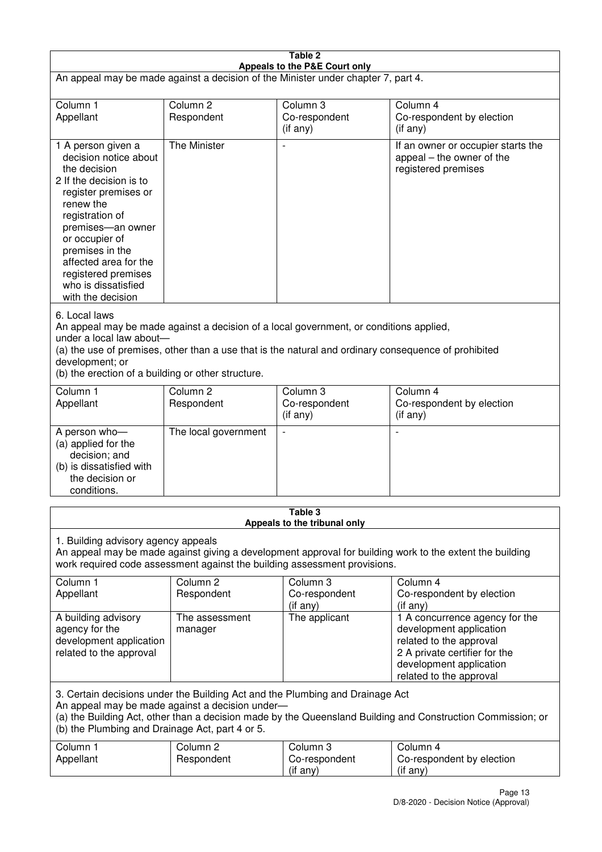| Table 2<br>Appeals to the P&E Court only                                                                                                                                                                                                                                                                             |                                   |                                       |                                                                                                                                                                             |  |
|----------------------------------------------------------------------------------------------------------------------------------------------------------------------------------------------------------------------------------------------------------------------------------------------------------------------|-----------------------------------|---------------------------------------|-----------------------------------------------------------------------------------------------------------------------------------------------------------------------------|--|
| An appeal may be made against a decision of the Minister under chapter 7, part 4.                                                                                                                                                                                                                                    |                                   |                                       |                                                                                                                                                                             |  |
| Column 1<br>Appellant                                                                                                                                                                                                                                                                                                | Column <sub>2</sub><br>Respondent | Column 3<br>Co-respondent<br>(if any) | Column 4<br>Co-respondent by election<br>$($ if any $)$                                                                                                                     |  |
| 1 A person given a<br>decision notice about<br>the decision<br>2 If the decision is to<br>register premises or<br>renew the<br>registration of<br>premises-an owner<br>or occupier of<br>premises in the<br>affected area for the<br>registered premises<br>who is dissatisfied<br>with the decision                 | The Minister                      |                                       | If an owner or occupier starts the<br>appeal – the owner of the<br>registered premises                                                                                      |  |
| 6. Local laws<br>An appeal may be made against a decision of a local government, or conditions applied,<br>under a local law about-<br>(a) the use of premises, other than a use that is the natural and ordinary consequence of prohibited<br>development; or<br>(b) the erection of a building or other structure. |                                   |                                       |                                                                                                                                                                             |  |
| Column 1<br>Appellant                                                                                                                                                                                                                                                                                                | Column <sub>2</sub><br>Respondent | Column 3<br>Co-respondent<br>(if any) | Column 4<br>Co-respondent by election<br>(if any)                                                                                                                           |  |
| A person who-<br>(a) applied for the<br>decision; and<br>(b) is dissatisfied with<br>the decision or<br>conditions.                                                                                                                                                                                                  | The local government              | $\overline{\phantom{a}}$              |                                                                                                                                                                             |  |
| Table 3<br>Appeals to the tribunal only                                                                                                                                                                                                                                                                              |                                   |                                       |                                                                                                                                                                             |  |
| 1. Building advisory agency appeals<br>An appeal may be made against giving a development approval for building work to the extent the building<br>work required code assessment against the building assessment provisions.                                                                                         |                                   |                                       |                                                                                                                                                                             |  |
| Column 1<br>Appellant                                                                                                                                                                                                                                                                                                | Column <sub>2</sub><br>Respondent | Column 3<br>Co-respondent<br>(if any) | Column 4<br>Co-respondent by election<br>(if any)                                                                                                                           |  |
| A building advisory<br>agency for the<br>development application<br>related to the approval                                                                                                                                                                                                                          | The assessment<br>manager         | The applicant                         | 1 A concurrence agency for the<br>development application<br>related to the approval<br>2 A private certifier for the<br>development application<br>related to the approval |  |
| 3. Certain decisions under the Building Act and the Plumbing and Drainage Act<br>An appeal may be made against a decision under-<br>(a) the Building Act, other than a decision made by the Queensland Building and Construction Commission; or<br>(b) the Plumbing and Drainage Act, part 4 or 5.                   |                                   |                                       |                                                                                                                                                                             |  |
| Column 1<br>Appellant                                                                                                                                                                                                                                                                                                | Column <sub>2</sub><br>Respondent | Column 3<br>Co-respondent<br>(if any) | Column 4<br>Co-respondent by election<br>(if any)                                                                                                                           |  |